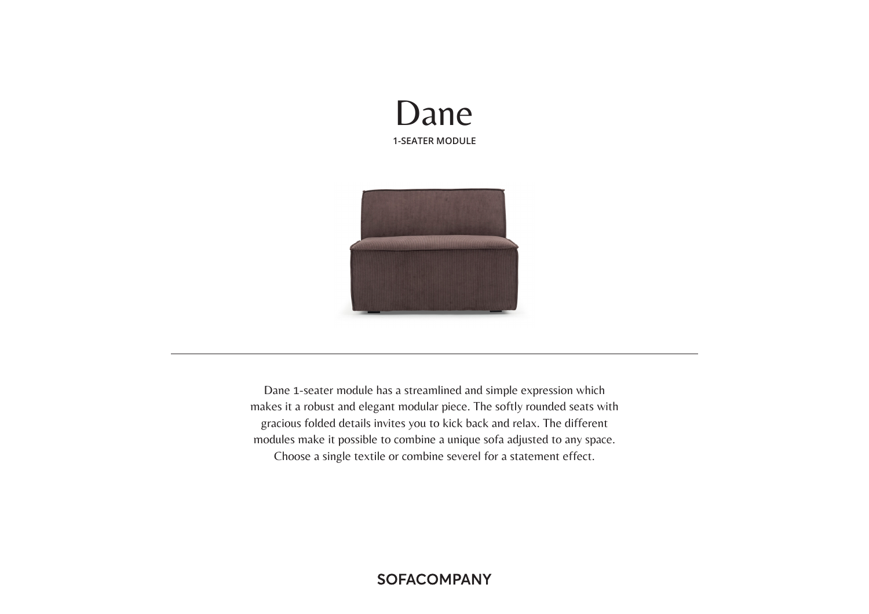



Dane 1-seater module has a streamlined and simple expression which makes it a robust and elegant modular piece. The softly rounded seats with gracious folded details invites you to kick back and relax. The different modules make it possible to combine a unique sofa adjusted to any space. Choose a single textile or combine severel for a statement effect.

# **SOFACOMPANY**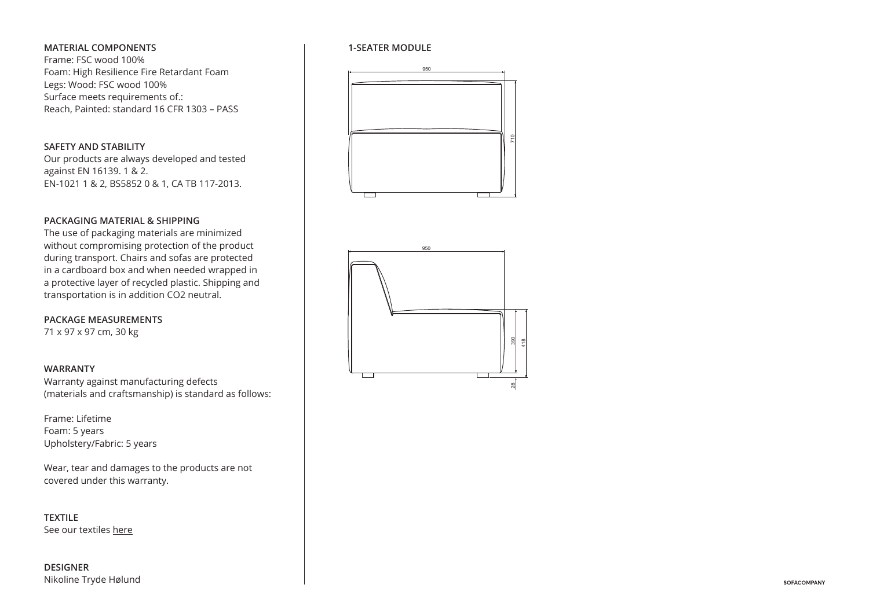# **MATERIAL COMPONENTS**

Frame: FSC wood 100% Foam: High Resilience Fire Retardant Foam Legs: Wood: FSC wood 100% Surface meets requirements of.: Reach, Painted: standard 16 CFR 1303 – PASS

## **SAFETY AND STABILITY**

Our products are always developed and tested against EN 16139. 1 & 2. EN-1021 1 & 2, BS5852 0 & 1, CA TB 117-2013.

# **PACKAGING MATERIAL & SHIPPING**

without compromising protection of the product \_\_\_\_\_\_\_\_\_\_\_\_\_\_\_\_\_\_\_\_\_\_\_\_\_\_\_\_\_\_\_\_\_\_ The use of packaging materials are minimized during transport. Chairs and sofas are protected in a cardboard box and when needed wrapped in a protective layer of recycled plastic. Shipping and transportation is in addition CO2 neutral.

**PACKAGE MEASUREMENTS** 71 x 97 x 97 cm, 30 kg

#### **WARRANTY**

Warranty against manufacturing defects (materials and craftsmanship) is standard as follows:

70 Upholstery/Fabric: 5 years Frame: Lifetime Foam: 5 years

Wear, tear and damages to the products are not covered under this warranty.

 $\overline{a}$ 

680

**TEXTILE** See our textiles here

**DESIGNER** Nikoline Tryde Hølund

#### **1-SEATER MODULE**